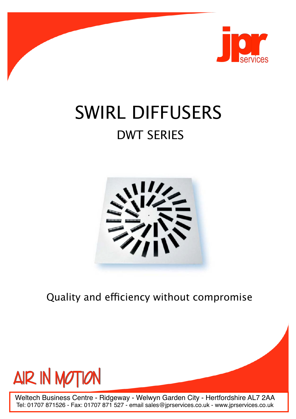

# SWIRL DIFFUSERS DWT SERIES



Quality and efficiency without compromise



Weltech Business Centre - Ridgeway - Welwyn Garden City - Hertfordshire AL7 2AA Tel: 01707 871526 - Fax: 01707 871 527 - email sales@jprservices.co.uk - www.jprservices.co.uk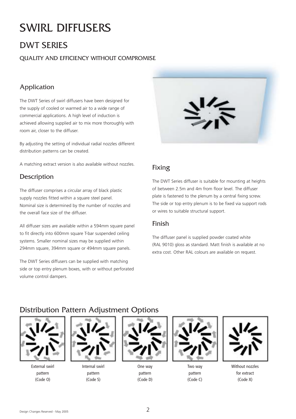# SWIRL DIFFUSERS

## DWT SERIES

#### QUALITY AND EFFICIENCY WITHOUT COMPROMISE

#### Application

The DWT Series of swirl diffusers have been designed for the supply of cooled or warmed air to a wide range of commercial applications. A high level of induction is achieved allowing supplied air to mix more thoroughly with room air, closer to the diffuser.

By adjusting the setting of individual radial nozzles different distribution patterns can be created.

A matching extract version is also available without nozzles.

#### **Description**

The diffuser comprises a circular array of black plastic supply nozzles fitted within a square steel panel. Nominal size is determined by the number of nozzles and the overall face size of the diffuser.

All diffuser sizes are available within a 594mm square panel to fit directly into 600mm square T-bar suspended ceiling systems. Smaller nominal sizes may be supplied within 294mm square, 394mm square or 494mm square panels.

The DWT Series diffusers can be supplied with matching side or top entry plenum boxes, with or without perforated volume control dampers.



#### Fixing

The DWT Series diffuser is suitable for mounting at heights of between 2.5m and 4m from floor level. The diffuser plate is fastened to the plenum by a central fixing screw. The side or top entry plenum is to be fixed via support rods or wires to suitable structural support.

#### Finish

The diffuser panel is supplied powder coated white (RAL 9010) gloss as standard. Matt finish is available at no extra cost. Other RAL colours are available on request.

#### Distribution Pattern Adjustment Options



External swirl pattern (Code O)



Internal swirl pattern (Code S)



One way pattern (Code D)



Two way pattern (Code C)



Without nozzles for extract (Code X)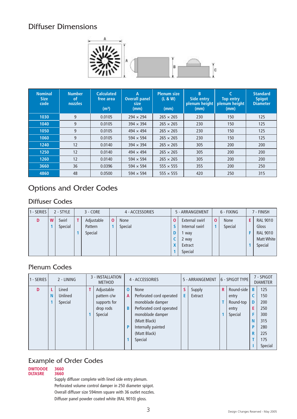#### Diffuser Dimensions



| <b>Nominal</b><br><b>Size</b><br>code | <b>Number</b><br><b>of</b><br>nozzles | <b>Calculated</b><br>free area<br>(m <sup>3</sup> ) | А<br><b>Overall panel</b><br>size<br>(mm) | <b>Plenum size</b><br>(L & W)<br>(mm) | B<br>Side entry<br>plement  <br>(mm) | <b>Top entry</b><br>plenum height<br>(mm) | <b>Standard</b><br><b>Spigot</b><br><b>Diameter</b> |
|---------------------------------------|---------------------------------------|-----------------------------------------------------|-------------------------------------------|---------------------------------------|--------------------------------------|-------------------------------------------|-----------------------------------------------------|
| 1030                                  | 9                                     | 0.0105                                              | $294 \times 294$                          | $265 \times 265$                      | 230                                  | 150                                       | 125                                                 |
| 1040                                  | 9                                     | 0.0105                                              | $394 \times 394$                          | $265 \times 265$                      | 230                                  | 150                                       | 125                                                 |
| 1050                                  | 9                                     | 0.0105                                              | $494 \times 494$                          | $265 \times 265$                      | 230                                  | 150                                       | 125                                                 |
| 1060                                  | 9                                     | 0.0105                                              | $594 \times 594$                          | $265 \times 265$                      | 230                                  | 150                                       | 125                                                 |
| 1240                                  | 12                                    | 0.0140                                              | $394 \times 394$                          | $265 \times 265$                      | 305                                  | 200                                       | 200                                                 |
| 1250                                  | 12                                    | 0.0140                                              | $494 \times 494$                          | $265 \times 265$                      | 305                                  | 200                                       | 200                                                 |
| 1260                                  | 12                                    | 0.0140                                              | $594 \times 594$                          | $265 \times 265$                      | 305                                  | 200                                       | 200                                                 |
| 3660                                  | 36                                    | 0.0396                                              | $594 \times 594$                          | $555 \times 555$                      | 355                                  | 200                                       | 250                                                 |
| 4860                                  | 48                                    | 0.0500                                              | $594 \times 594$                          | $555 \times 555$                      | 420                                  | 250                                       | 315                                                 |

## Options and Order Codes

#### Diffuser Codes

| 1 - SERIES |   | 2 - STYLE | $3 - CORE$ | 4 - ACCESSORIES | 5 - ARRANGEMENT |             | 6 - FIXING  |   | 7 - FINISH      |
|------------|---|-----------|------------|-----------------|-----------------|-------------|-------------|---|-----------------|
| D          | W | Swirl     | Adjustable | None            | External swirl  | $\mathbf 0$ | <b>None</b> | Е | <b>RAL 9010</b> |
|            |   | Special   | Pattern    | Special         | Internal swirl  |             | Special     |   | Gloss           |
|            |   |           | Special    |                 | way             |             |             |   | <b>RAL 9010</b> |
|            |   |           |            |                 | 2 way           |             |             |   | Matt White      |
|            |   |           |            |                 | Extract         |             |             |   | Special         |
|            |   |           |            |                 | Special         |             |             |   |                 |

#### Plenum Codes

| 1 - SERIES |   | 2 - LINING | 3 - INSTALLATION<br><b>METHOD</b> | 4 - ACCESSORIES |                          | 5 - ARRANGEMENT |         | 6 - SPIGOT TYPE |            | 7 - SPIGOT<br><b>DIAMETER</b> |         |
|------------|---|------------|-----------------------------------|-----------------|--------------------------|-----------------|---------|-----------------|------------|-------------------------------|---------|
| D          |   | Lined      | Adjustable                        | $\mathbf 0$     | None                     | S               | Supply  | R               | Round-side | B                             | 125     |
|            | N | Unlined    | pattern c/w                       | A               | Perforated cord operated | E.              | Extract |                 | entry      |                               | 150     |
|            |   | Special    | supports for                      |                 | monoblade damper         |                 |         |                 | Round-top  | D                             | 200     |
|            |   |            | drop rods                         | B               | Perforated cord operated |                 |         |                 | entry      | Е                             | 250     |
|            |   |            | Special                           |                 | monoblade damper         |                 |         |                 | Special    |                               | 300     |
|            |   |            |                                   |                 | (Matt Black)             |                 |         |                 |            | N                             | 315     |
|            |   |            |                                   | P               | Internally painted       |                 |         |                 |            | D                             | 280     |
|            |   |            |                                   |                 | (Matt Black)             |                 |         |                 |            | R                             | 225     |
|            |   |            |                                   |                 | Special                  |                 |         |                 |            |                               | 175     |
|            |   |            |                                   |                 |                          |                 |         |                 |            |                               | Special |

#### Example of Order Codes

#### **DWTOOOE 3660 DLTASRE**

Supply diffuser complete with lined side entry plenum. Perforated volume control damper in 250 diameter spigot. Overall diffuser size 594mm square with 36 outlet nozzles. Diffuser panel powder coated white (RAL 9010) gloss.